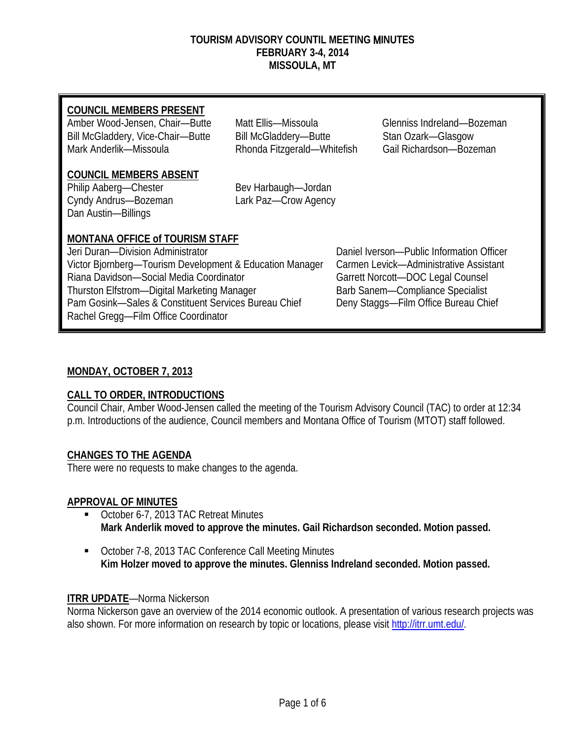#### **TOURISM ADVISORY COUNTIL MEETING** M**INUTES FEBRUARY 3-4, 2014 MISSOULA, MT**

Amber Wood-Jensen, Chair—Butte Matt Ellis—Missoula Glenniss Indreland—Bozeman Bill McGladdery, Vice-Chair—Butte Bill McGladdery—Butte Stan Ozark—Glasgow Mark Anderlik—Missoula **Rhonda Fitzgerald—Whitefish** Gail Richardson—Bozeman

## **COUNCIL MEMBERS ABSENT**

Philip Aaberg—Chester Bev Harbaugh—Jordan Cyndy Andrus—Bozeman Lark Paz—Crow Agency Dan Austin—Billings

# **MONTANA OFFICE of TOURISM STAFF**

| Jeri Duran-Division Administrator                        | Daniel Iverson-Public Information Officer |
|----------------------------------------------------------|-------------------------------------------|
| Victor Bjornberg-Tourism Development & Education Manager | Carmen Levick-Administrative Assistant    |
| Riana Davidson-Social Media Coordinator                  | Garrett Norcott-DOC Legal Counsel         |
| Thurston Elfstrom-Digital Marketing Manager              | Barb Sanem-Compliance Specialist          |
| Pam Gosink-Sales & Constituent Services Bureau Chief     | Deny Staggs-Film Office Bureau Chief      |
| Rachel Gregg-Film Office Coordinator                     |                                           |
|                                                          |                                           |

# **MONDAY, OCTOBER 7, 2013**

# **CALL TO ORDER, INTRODUCTIONS**

Council Chair, Amber Wood-Jensen called the meeting of the Tourism Advisory Council (TAC) to order at 12:34 p.m. Introductions of the audience, Council members and Montana Office of Tourism (MTOT) staff followed.

# **CHANGES TO THE AGENDA**

There were no requests to make changes to the agenda.

## **APPROVAL OF MINUTES**

- Christer 6-7, 2013 TAC Retreat Minutes **Mark Anderlik moved to approve the minutes. Gail Richardson seconded. Motion passed.**
- October 7-8, 2013 TAC Conference Call Meeting Minutes **Kim Holzer moved to approve the minutes. Glenniss Indreland seconded. Motion passed.**

## **ITRR UPDATE**—Norma Nickerson

Norma Nickerson gave an overview of the 2014 economic outlook. A presentation of various research projects was also shown. For more information on research by topic or locations, please visit [http://itrr.umt.edu/.](http://itrr.umt.edu/)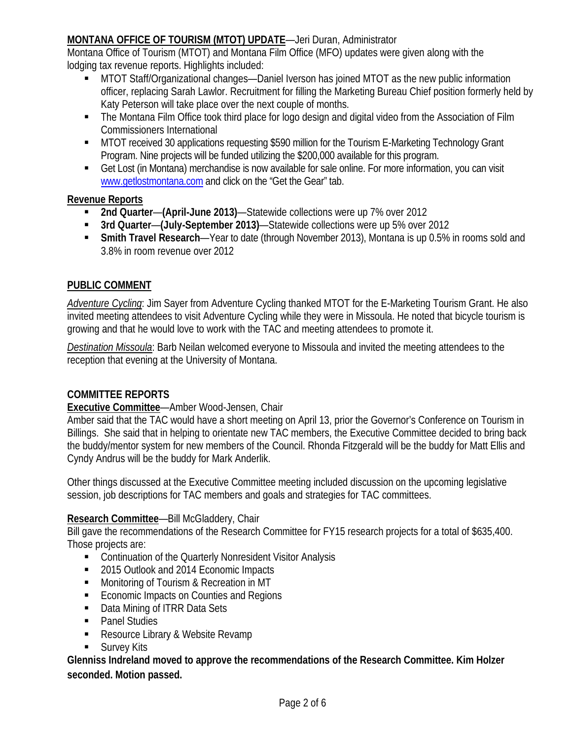## **MONTANA OFFICE OF TOURISM (MTOT) UPDATE**—Jeri Duran, Administrator

Montana Office of Tourism (MTOT) and Montana Film Office (MFO) updates were given along with the lodging tax revenue reports. Highlights included:

- MTOT Staff/Organizational changes—Daniel Iverson has joined MTOT as the new public information officer, replacing Sarah Lawlor. Recruitment for filling the Marketing Bureau Chief position formerly held by Katy Peterson will take place over the next couple of months.
- The Montana Film Office took third place for logo design and digital video from the Association of Film Commissioners International
- MTOT received 30 applications requesting \$590 million for the Tourism E-Marketing Technology Grant Program. Nine projects will be funded utilizing the \$200,000 available for this program.
- Get Lost (in Montana) merchandise is now available for sale online. For more information, you can visit [www.getlostmontana.com](http://www.getlostmontana.com/) and click on the "Get the Gear" tab.

## **Revenue Reports**

- **2nd Quarter**—**(April-June 2013)**—Statewide collections were up 7% over 2012
- **3rd Quarter**—**(July-September 2013)**—Statewide collections were up 5% over 2012
- **Smith Travel Research**—Year to date (through November 2013), Montana is up 0.5% in rooms sold and 3.8% in room revenue over 2012

## **PUBLIC COMMENT**

*Adventure Cycling*: Jim Sayer from Adventure Cycling thanked MTOT for the E-Marketing Tourism Grant. He also invited meeting attendees to visit Adventure Cycling while they were in Missoula. He noted that bicycle tourism is growing and that he would love to work with the TAC and meeting attendees to promote it.

*Destination Missoula*: Barb Neilan welcomed everyone to Missoula and invited the meeting attendees to the reception that evening at the University of Montana.

## **COMMITTEE REPORTS**

## **Executive Committee**—Amber Wood-Jensen, Chair

Amber said that the TAC would have a short meeting on April 13, prior the Governor's Conference on Tourism in Billings. She said that in helping to orientate new TAC members, the Executive Committee decided to bring back the buddy/mentor system for new members of the Council. Rhonda Fitzgerald will be the buddy for Matt Ellis and Cyndy Andrus will be the buddy for Mark Anderlik.

Other things discussed at the Executive Committee meeting included discussion on the upcoming legislative session, job descriptions for TAC members and goals and strategies for TAC committees.

## **Research Committee**—Bill McGladdery, Chair

Bill gave the recommendations of the Research Committee for FY15 research projects for a total of \$635,400. Those projects are:

- Continuation of the Quarterly Nonresident Visitor Analysis
- 2015 Outlook and 2014 Economic Impacts
- **Monitoring of Tourism & Recreation in MT**
- **Economic Impacts on Counties and Regions**
- Data Mining of ITRR Data Sets
- Panel Studies
- Resource Library & Website Revamp
- **Survey Kits**

**Glenniss Indreland moved to approve the recommendations of the Research Committee. Kim Holzer seconded. Motion passed.**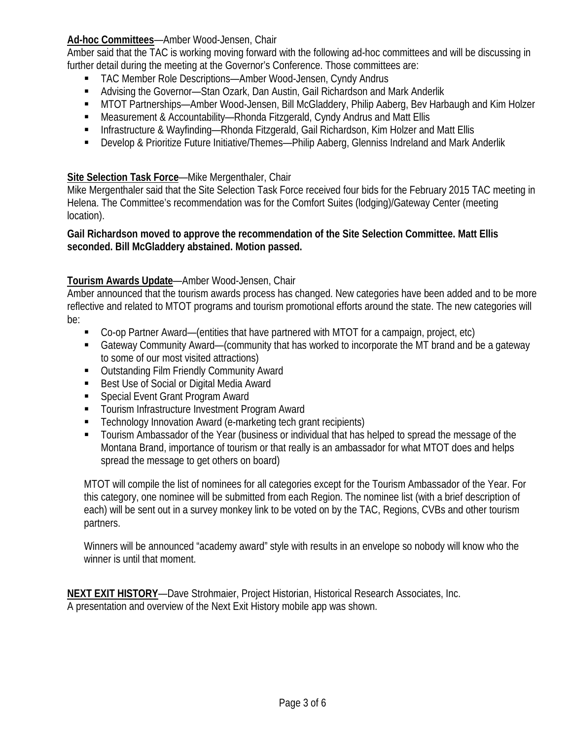## **Ad-hoc Committees**—Amber Wood-Jensen, Chair

Amber said that the TAC is working moving forward with the following ad-hoc committees and will be discussing in further detail during the meeting at the Governor's Conference. Those committees are:

- TAC Member Role Descriptions—Amber Wood-Jensen, Cyndy Andrus
- Advising the Governor—Stan Ozark, Dan Austin, Gail Richardson and Mark Anderlik
- MTOT Partnerships—Amber Wood-Jensen, Bill McGladdery, Philip Aaberg, Bev Harbaugh and Kim Holzer
- Measurement & Accountability—Rhonda Fitzgerald, Cyndy Andrus and Matt Ellis
- Infrastructure & Wayfinding—Rhonda Fitzgerald, Gail Richardson, Kim Holzer and Matt Ellis
- Develop & Prioritize Future Initiative/Themes—Philip Aaberg, Glenniss Indreland and Mark Anderlik

### **Site Selection Task Force**—Mike Mergenthaler, Chair

Mike Mergenthaler said that the Site Selection Task Force received four bids for the February 2015 TAC meeting in Helena. The Committee's recommendation was for the Comfort Suites (lodging)/Gateway Center (meeting location).

#### **Gail Richardson moved to approve the recommendation of the Site Selection Committee. Matt Ellis seconded. Bill McGladdery abstained. Motion passed.**

### **Tourism Awards Update**—Amber Wood-Jensen, Chair

Amber announced that the tourism awards process has changed. New categories have been added and to be more reflective and related to MTOT programs and tourism promotional efforts around the state. The new categories will be:

- Co-op Partner Award—(entities that have partnered with MTOT for a campaign, project, etc)
- Gateway Community Award—(community that has worked to incorporate the MT brand and be a gateway to some of our most visited attractions)
- Outstanding Film Friendly Community Award
- Best Use of Social or Digital Media Award
- Special Event Grant Program Award
- **Tourism Infrastructure Investment Program Award**
- Technology Innovation Award (e-marketing tech grant recipients)
- Tourism Ambassador of the Year (business or individual that has helped to spread the message of the Montana Brand, importance of tourism or that really is an ambassador for what MTOT does and helps spread the message to get others on board)

MTOT will compile the list of nominees for all categories except for the Tourism Ambassador of the Year. For this category, one nominee will be submitted from each Region. The nominee list (with a brief description of each) will be sent out in a survey monkey link to be voted on by the TAC, Regions, CVBs and other tourism partners.

Winners will be announced "academy award" style with results in an envelope so nobody will know who the winner is until that moment.

**NEXT EXIT HISTORY**—Dave Strohmaier, Project Historian, Historical Research Associates, Inc. A presentation and overview of the Next Exit History mobile app was shown.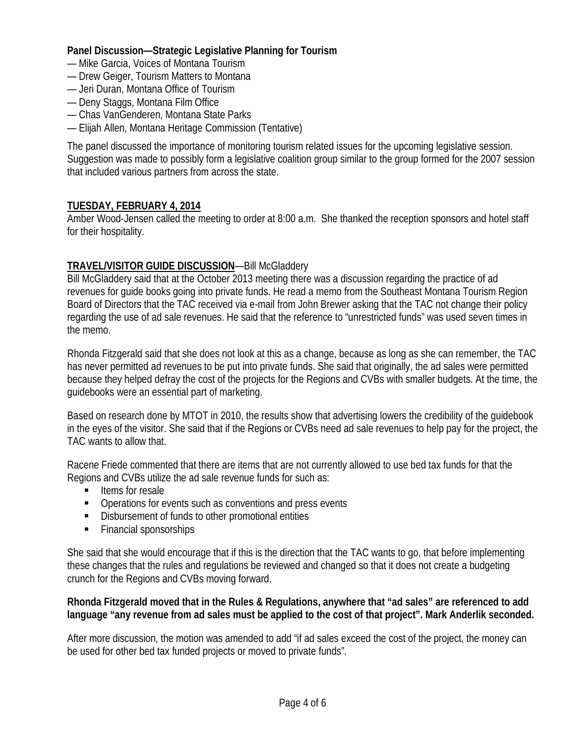### **Panel Discussion—Strategic Legislative Planning for Tourism**

- Mike Garcia, Voices of Montana Tourism
- Drew Geiger, Tourism Matters to Montana
- Jeri Duran, Montana Office of Tourism
- Deny Staggs, Montana Film Office
- Chas VanGenderen, Montana State Parks
- Elijah Allen, Montana Heritage Commission (Tentative)

The panel discussed the importance of monitoring tourism related issues for the upcoming legislative session. Suggestion was made to possibly form a legislative coalition group similar to the group formed for the 2007 session that included various partners from across the state.

### **TUESDAY, FEBRUARY 4, 2014**

Amber Wood-Jensen called the meeting to order at 8:00 a.m. She thanked the reception sponsors and hotel staff for their hospitality.

## **TRAVEL/VISITOR GUIDE DISCUSSION**—Bill McGladdery

Bill McGladdery said that at the October 2013 meeting there was a discussion regarding the practice of ad revenues for guide books going into private funds. He read a memo from the Southeast Montana Tourism Region Board of Directors that the TAC received via e-mail from John Brewer asking that the TAC not change their policy regarding the use of ad sale revenues. He said that the reference to "unrestricted funds" was used seven times in the memo.

Rhonda Fitzgerald said that she does not look at this as a change, because as long as she can remember, the TAC has never permitted ad revenues to be put into private funds. She said that originally, the ad sales were permitted because they helped defray the cost of the projects for the Regions and CVBs with smaller budgets. At the time, the guidebooks were an essential part of marketing.

Based on research done by MTOT in 2010, the results show that advertising lowers the credibility of the guidebook in the eyes of the visitor. She said that if the Regions or CVBs need ad sale revenues to help pay for the project, the TAC wants to allow that.

Racene Friede commented that there are items that are not currently allowed to use bed tax funds for that the Regions and CVBs utilize the ad sale revenue funds for such as:

- $\blacksquare$  Items for resale
- Operations for events such as conventions and press events
- Disbursement of funds to other promotional entities
- Financial sponsorships

She said that she would encourage that if this is the direction that the TAC wants to go, that before implementing these changes that the rules and regulations be reviewed and changed so that it does not create a budgeting crunch for the Regions and CVBs moving forward.

#### **Rhonda Fitzgerald moved that in the Rules & Regulations, anywhere that "ad sales" are referenced to add language "any revenue from ad sales must be applied to the cost of that project". Mark Anderlik seconded.**

After more discussion, the motion was amended to add "if ad sales exceed the cost of the project, the money can be used for other bed tax funded projects or moved to private funds".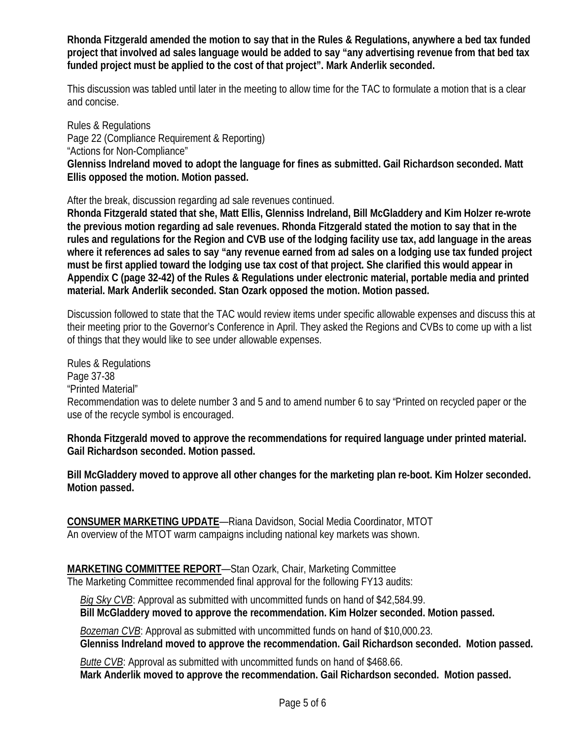**Rhonda Fitzgerald amended the motion to say that in the Rules & Regulations, anywhere a bed tax funded project that involved ad sales language would be added to say "any advertising revenue from that bed tax funded project must be applied to the cost of that project". Mark Anderlik seconded.** 

This discussion was tabled until later in the meeting to allow time for the TAC to formulate a motion that is a clear and concise.

Rules & Regulations Page 22 (Compliance Requirement & Reporting) "Actions for Non-Compliance" **Glenniss Indreland moved to adopt the language for fines as submitted. Gail Richardson seconded. Matt Ellis opposed the motion. Motion passed.** 

After the break, discussion regarding ad sale revenues continued.

**Rhonda Fitzgerald stated that she, Matt Ellis, Glenniss Indreland, Bill McGladdery and Kim Holzer re-wrote the previous motion regarding ad sale revenues. Rhonda Fitzgerald stated the motion to say that in the rules and regulations for the Region and CVB use of the lodging facility use tax, add language in the areas where it references ad sales to say "any revenue earned from ad sales on a lodging use tax funded project must be first applied toward the lodging use tax cost of that project. She clarified this would appear in Appendix C (page 32-42) of the Rules & Regulations under electronic material, portable media and printed material. Mark Anderlik seconded. Stan Ozark opposed the motion. Motion passed.** 

Discussion followed to state that the TAC would review items under specific allowable expenses and discuss this at their meeting prior to the Governor's Conference in April. They asked the Regions and CVBs to come up with a list of things that they would like to see under allowable expenses.

Rules & Regulations Page 37-38 "Printed Material" Recommendation was to delete number 3 and 5 and to amend number 6 to say "Printed on recycled paper or the use of the recycle symbol is encouraged.

**Rhonda Fitzgerald moved to approve the recommendations for required language under printed material. Gail Richardson seconded. Motion passed.** 

**Bill McGladdery moved to approve all other changes for the marketing plan re-boot. Kim Holzer seconded. Motion passed.** 

**CONSUMER MARKETING UPDATE**—Riana Davidson, Social Media Coordinator, MTOT An overview of the MTOT warm campaigns including national key markets was shown.

**MARKETING COMMITTEE REPORT**—Stan Ozark, Chair, Marketing Committee The Marketing Committee recommended final approval for the following FY13 audits:

 *Big Sky CVB*: Approval as submitted with uncommitted funds on hand of \$42,584.99.  **Bill McGladdery moved to approve the recommendation. Kim Holzer seconded. Motion passed.**

 *Bozeman CVB*: Approval as submitted with uncommitted funds on hand of \$10,000.23.  **Glenniss Indreland moved to approve the recommendation. Gail Richardson seconded. Motion passed.**

 *Butte CVB*: Approval as submitted with uncommitted funds on hand of \$468.66.  **Mark Anderlik moved to approve the recommendation. Gail Richardson seconded. Motion passed.**